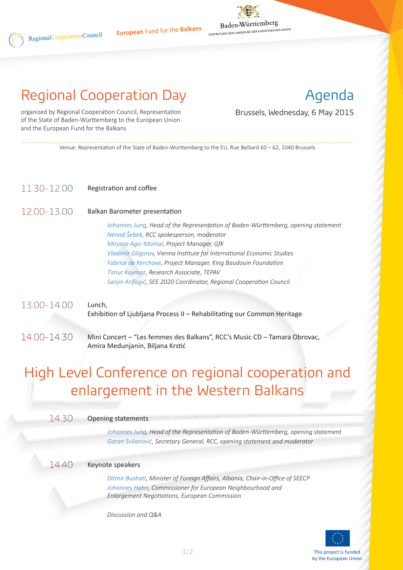

## Regional Cooperation Day

Agenda

organized by Regional Cooperation Council, Representation Brussels, Wednesday, 6 May 2015 of the State of Baden-Württemberg to the European Union and the European Fund for the Balkans

Venue: Representation of the State of Baden-Württemberg to the EU, Rue Belliard 60 – 62, 1040 Brussels

### Registration and coffee 11.30-12.00

### Balkan Barometer presentation 12.00-13.00

RegionalCooperationCouncil

*Johannes Jung, Head of the Representation of Baden-Württemberg, opening statement Nenad Šebek, RCC spokesperson, moderator Mirjana Agic-Molnar, Project Manager, GfK Vladimir Gligorov, Vienna Institute for International Economic Studies Fabrice de Kerchove, Project Manager, King Baudouin Foundation Timur Kaymaz, Research Associate, TEPAV Sanjin Arifagić, SEE 2020 Coordinator, Regional Cooperation Council*

Lunch, Exhibition of Ljubljana Process II – Rehabilitating our Common Heritage 13.00-14.00

Mini Concert – "Les femmes des Balkans", RCC's Music CD – Tamara Obrovac, Amira Medunjanin, Biljana Krstić 14.00-14.30

# High Level Conference on regional cooperation and enlargement in the Western Balkans

#### Opening statements 14.30

*Johannes Jung, Head of the Representation of Baden-Württemberg, opening statement Goran Svilanović, Secretary General, RCC, opening statement and moderator*

#### Keynote speakers 14.40

*Ditmir Bushati, Minister of Foreign Affairs, Albania, Chair-in-Office of SEECP Johannes Hahn, Commissioner for European Neighbourhood and Enlargement Negotiations, European Commission*

*Discussion and Q&A*